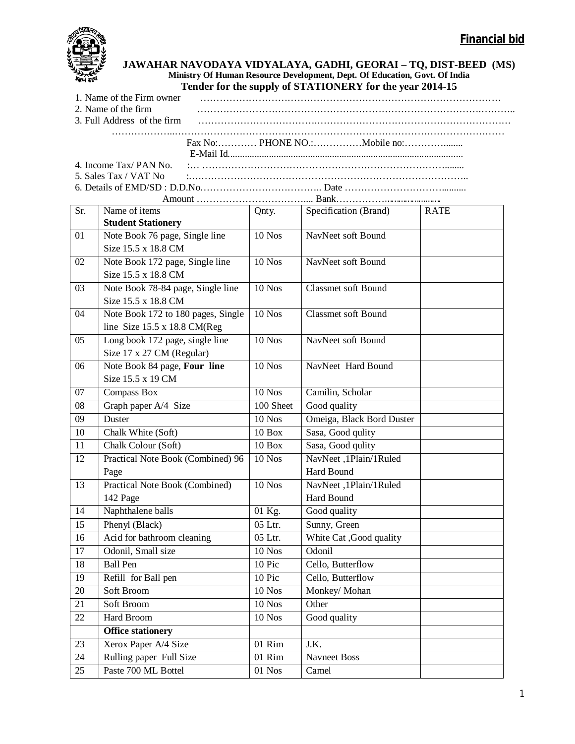

## **JAWAHAR NAVODAYA VIDYALAYA, GADHI, GEORAI – TQ, DIST-BEED (MS) Ministry Of Human Resource Development, Dept. Of Education, Govt. Of India Tender for the supply of STATIONERY for the year 2014-15**

| 1. Name of the Firm owner |                                                                                                                                                              |
|---------------------------|--------------------------------------------------------------------------------------------------------------------------------------------------------------|
| 2. Name of the firm       |                                                                                                                                                              |
|                           |                                                                                                                                                              |
|                           |                                                                                                                                                              |
|                           |                                                                                                                                                              |
|                           |                                                                                                                                                              |
|                           |                                                                                                                                                              |
|                           | 5. Sales Tax / VAT No $\ldots$ $\ldots$ $\ldots$ $\ldots$ $\ldots$ $\ldots$ $\ldots$ $\ldots$ $\ldots$ $\ldots$ $\ldots$ $\ldots$ $\ldots$ $\ldots$ $\ldots$ |
|                           |                                                                                                                                                              |

| Sr.             | Name of items                       | Qnty.         | Specification (Brand)      | <b>RATE</b> |  |  |  |
|-----------------|-------------------------------------|---------------|----------------------------|-------------|--|--|--|
|                 | <b>Student Stationery</b>           |               |                            |             |  |  |  |
| 01              | Note Book 76 page, Single line      | <b>10 Nos</b> | NavNeet soft Bound         |             |  |  |  |
|                 | Size 15.5 x 18.8 CM                 |               |                            |             |  |  |  |
| 02              | Note Book 172 page, Single line     | 10 Nos        | NavNeet soft Bound         |             |  |  |  |
|                 | Size 15.5 x 18.8 CM                 |               |                            |             |  |  |  |
| 03              | Note Book 78-84 page, Single line   | <b>10 Nos</b> | <b>Classmet soft Bound</b> |             |  |  |  |
|                 | Size 15.5 x 18.8 CM                 |               |                            |             |  |  |  |
| $\overline{04}$ | Note Book 172 to 180 pages, Single  | $10$ Nos      | <b>Classmet soft Bound</b> |             |  |  |  |
|                 | line Size $15.5 \times 18.8$ CM(Reg |               |                            |             |  |  |  |
| 05              | Long book 172 page, single line     | <b>10 Nos</b> | NavNeet soft Bound         |             |  |  |  |
|                 | Size 17 x 27 CM (Regular)           |               |                            |             |  |  |  |
| 06              | Note Book 84 page, Four line        | $10$ Nos      | NavNeet Hard Bound         |             |  |  |  |
|                 | Size 15.5 x 19 CM                   |               |                            |             |  |  |  |
| 07              | <b>Compass Box</b>                  | <b>10 Nos</b> | Camilin, Scholar           |             |  |  |  |
| $\overline{08}$ | Graph paper A/4 Size                | 100 Sheet     | Good quality               |             |  |  |  |
| 09              | Duster                              | <b>10 Nos</b> | Omeiga, Black Bord Duster  |             |  |  |  |
| 10              | Chalk White (Soft)                  | $10$ Box      | Sasa, Good qulity          |             |  |  |  |
| $\overline{11}$ | Chalk Colour (Soft)                 | $10$ Box      | Sasa, Good qulity          |             |  |  |  |
| $\overline{12}$ | Practical Note Book (Combined) 96   | $10$ Nos      | NavNeet ,1Plain/1Ruled     |             |  |  |  |
|                 | Page                                |               | Hard Bound                 |             |  |  |  |
| 13              | Practical Note Book (Combined)      | <b>10 Nos</b> | NavNeet, 1Plain/1Ruled     |             |  |  |  |
|                 | 142 Page                            |               | Hard Bound                 |             |  |  |  |
| 14              | Naphthalene balls                   | 01 Kg.        | Good quality               |             |  |  |  |
| $\overline{15}$ | Phenyl (Black)                      | 05 Ltr.       | Sunny, Green               |             |  |  |  |
| 16              | Acid for bathroom cleaning          | 05 Ltr.       | White Cat, Good quality    |             |  |  |  |
| 17              | Odonil, Small size                  | $10$ Nos      | Odonil                     |             |  |  |  |
| 18              | <b>Ball</b> Pen                     | 10 Pic        | Cello, Butterflow          |             |  |  |  |
| 19              | Refill for Ball pen                 | 10 Pic        | Cello, Butterflow          |             |  |  |  |
| 20              | Soft Broom                          | $10$ Nos      | Monkey/ Mohan              |             |  |  |  |
| 21              | Soft Broom                          | <b>10 Nos</b> | Other                      |             |  |  |  |
| 22              | Hard Broom                          | <b>10 Nos</b> | Good quality               |             |  |  |  |
|                 | <b>Office stationery</b>            |               |                            |             |  |  |  |
| 23              | Xerox Paper A/4 Size                | 01 Rim        | J.K.                       |             |  |  |  |
| $\overline{24}$ | Rulling paper Full Size             | 01 Rim        | <b>Navneet Boss</b>        |             |  |  |  |
| 25              | Paste 700 ML Bottel                 | $01$ Nos      | Camel                      |             |  |  |  |
|                 |                                     |               |                            |             |  |  |  |